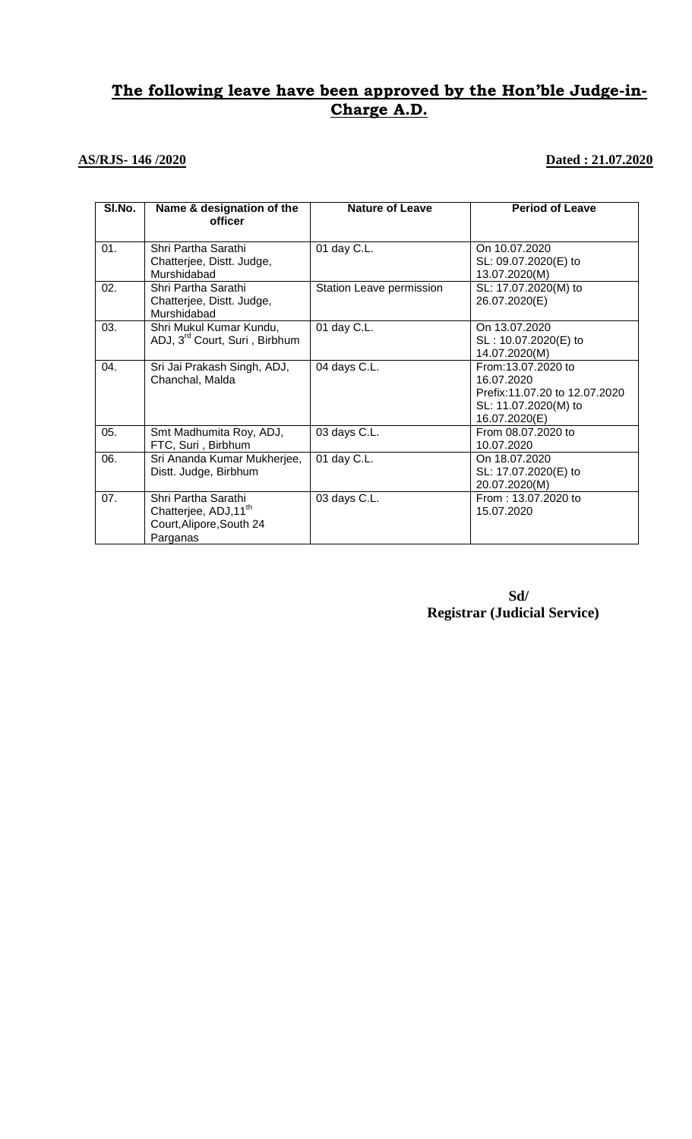# **The following leave have been approved by the Hon'ble Judge-in-Charge A.D.**

## **AS/RJS- 146 /2020** Dated : 21.07.2020

| SI.No. | Name & designation of the<br>officer                                                            | <b>Nature of Leave</b>   | <b>Period of Leave</b>                                                                                     |
|--------|-------------------------------------------------------------------------------------------------|--------------------------|------------------------------------------------------------------------------------------------------------|
| 01.    | Shri Partha Sarathi<br>Chatterjee, Distt. Judge,<br>Murshidabad                                 | 01 day C.L.              | On 10.07.2020<br>SL: 09.07.2020(E) to<br>13.07.2020(M)                                                     |
| 02.    | Shri Partha Sarathi<br>Chatterjee, Distt. Judge,<br>Murshidabad                                 | Station Leave permission | SL: 17.07.2020(M) to<br>26.07.2020(E)                                                                      |
| 03.    | Shri Mukul Kumar Kundu,<br>ADJ, 3 <sup>rd</sup> Court, Suri, Birbhum                            | 01 day C.L.              | On 13.07.2020<br>SL: 10.07.2020(E) to<br>14.07.2020(M)                                                     |
| 04.    | Sri Jai Prakash Singh, ADJ,<br>Chanchal, Malda                                                  | 04 days C.L.             | From:13.07.2020 to<br>16.07.2020<br>Prefix:11.07.20 to 12.07.2020<br>SL: 11.07.2020(M) to<br>16.07.2020(E) |
| 05.    | Smt Madhumita Roy, ADJ,<br>FTC, Suri, Birbhum                                                   | 03 days C.L.             | From 08.07.2020 to<br>10.07.2020                                                                           |
| 06.    | Sri Ananda Kumar Mukherjee,<br>Distt. Judge, Birbhum                                            | 01 day C.L.              | On 18.07.2020<br>SL: 17.07.2020(E) to<br>20.07.2020(M)                                                     |
| 07.    | Shri Partha Sarathi<br>Chatterjee, ADJ,11 <sup>th</sup><br>Court, Alipore, South 24<br>Parganas | 03 days C.L.             | From: 13.07.2020 to<br>15.07.2020                                                                          |

**Sd/ Registrar (Judicial Service)**